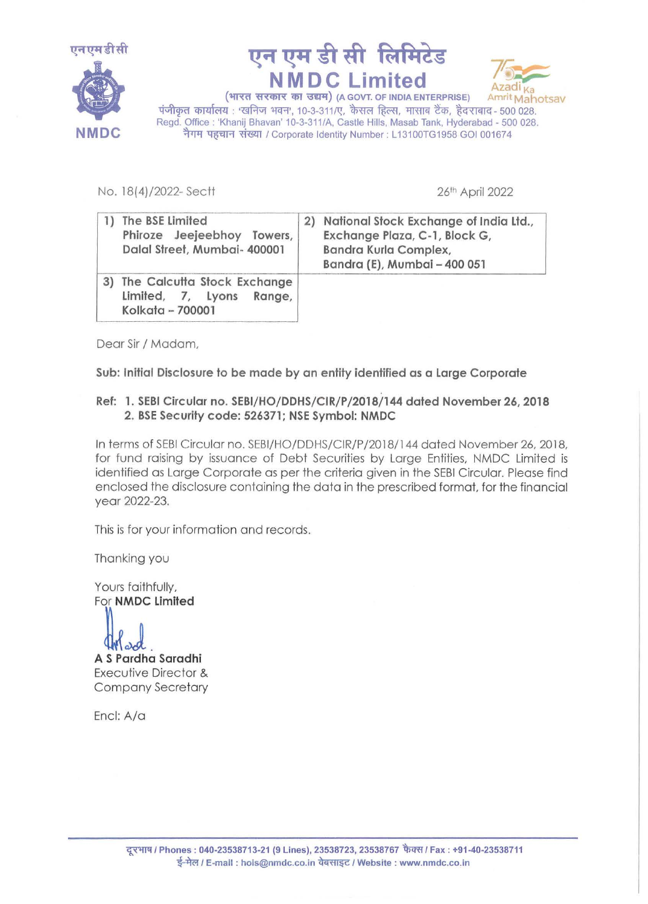





(भारत सरकार का उद्यम) (A GOVT. OF INDIA ENTERPRISE) Amrit Mahotsav  $\frac{1}{4}$ पंजीकृत कार्यालय: 'खनिज भवन', 10-3-311/ए, कैसल हिल्स, मासाब टैंक, हैदराबाद- 500 028. Regd. Office : 'Khanij Bhavan' 10-3-311/A, Castle Hills, Masab Tank, Hyderabad - 500 028. नैगम पहचान संख्या / Corporate Identity Number : L13100TG1958 GOI 001674

No. 18(4)/2022-Sectt

26th April 2022

|    | The BSE Limited<br>Phiroze Jeejeebhoy Towers,<br>Dalal Street, Mumbai- 400001  | 2) National Stock Exchange of India Ltd.,<br>Exchange Plaza, C-1, Block G,<br>Bandra Kurla Complex,<br>Bandra (E), Mumbai - 400 051 |
|----|--------------------------------------------------------------------------------|-------------------------------------------------------------------------------------------------------------------------------------|
| 3) | The Calcutta Stock Exchange<br>Limited, 7, Lyons<br>Range,<br>Kolkata - 700001 |                                                                                                                                     |

Dear Sir / Madam,

Sub: Initial Disclosure to be made by an entity identified as a Large Corporate

## Ref: 1. SEBI Circular no. SEBl/HO/DDHS/CIR/P/2018/144 dated November 26, 2018 *2.* BSE Security code: 526371; NSE Symbol: NMDC

In terms of SEBI Circular no. SEBl/HO/DDHS/CIR/P/2018/144 dated November 26, 2018, for fund raising by issuance of Debt Securities by Large Entities, NMDC Limited is identified as Large Corporate as per the criteria given in the SEBI Circular. Please find enclosed the disclosure containing the data in the prescribed format, for the financial year 2022-23.

This is for your information and records.

Thanking you

Yours faithfully,<br>For **NMDC Limited** 

A S Pardha Saradhi Executive Director & Company Secretary

Encl: A/a